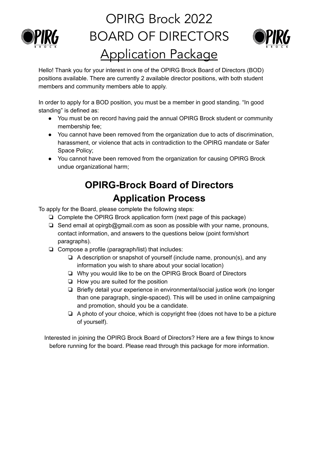

# OPIRG Brock 2022 BOARD OF DIRECTORS Application Package



Hello! Thank you for your interest in one of the OPIRG Brock Board of Directors (BOD) positions available. There are currently 2 available director positions, with both student members and community members able to apply.

In order to apply for a BOD position, you must be a member in good standing. "In good standing" is defined as:

- You must be on record having paid the annual OPIRG Brock student or community membership fee;
- You cannot have been removed from the organization due to acts of discrimination, harassment, or violence that acts in contradiction to the OPIRG mandate or Safer Space Policy;
- You cannot have been removed from the organization for causing OPIRG Brock undue organizational harm;

# **OPIRG-Brock Board of Directors Application Process**

To apply for the Board, please complete the following steps:

- ❏ Complete the OPIRG Brock application form (next page of this package)
- ❏ Send email at opirgb@gmail.com as soon as possible with your name, pronouns, contact information, and answers to the questions below (point form/short paragraphs).
- ❏ Compose a profile (paragraph/list) that includes:
	- ❏ A description or snapshot of yourself (include name, pronoun(s), and any information you wish to share about your social location)
	- ❏ Why you would like to be on the OPIRG Brock Board of Directors
	- ❏ How you are suited for the position
	- ❏ Briefly detail your experience in environmental/social justice work (no longer than one paragraph, single-spaced). This will be used in online campaigning and promotion, should you be a candidate.
	- ❏ A photo of your choice, which is copyright free (does not have to be a picture of yourself).

Interested in joining the OPIRG Brock Board of Directors? Here are a few things to know before running for the board. Please read through this package for more information.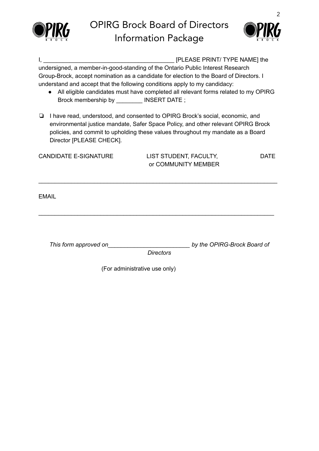



| [PLEASE PRINT/ TYPE NAME] the<br>Ι, |                                                                                                                                                                                                                                                                                   |                               |                                       |  |  |
|-------------------------------------|-----------------------------------------------------------------------------------------------------------------------------------------------------------------------------------------------------------------------------------------------------------------------------------|-------------------------------|---------------------------------------|--|--|
|                                     | undersigned, a member-in-good-standing of the Ontario Public Interest Research                                                                                                                                                                                                    |                               |                                       |  |  |
|                                     | Group-Brock, accept nomination as a candidate for election to the Board of Directors. I                                                                                                                                                                                           |                               |                                       |  |  |
|                                     | understand and accept that the following conditions apply to my candidacy:                                                                                                                                                                                                        |                               |                                       |  |  |
|                                     | All eligible candidates must have completed all relevant forms related to my OPIRG                                                                                                                                                                                                |                               |                                       |  |  |
|                                     | Brock membership by __________ INSERT DATE ;                                                                                                                                                                                                                                      |                               |                                       |  |  |
| ❏                                   | I have read, understood, and consented to OPIRG Brock's social, economic, and<br>environmental justice mandate, Safer Space Policy, and other relevant OPIRG Brock<br>policies, and commit to upholding these values throughout my mandate as a Board<br>Director [PLEASE CHECK]. |                               |                                       |  |  |
| <b>CANDIDATE E-SIGNATURE</b>        |                                                                                                                                                                                                                                                                                   |                               | LIST STUDENT, FACULTY,<br><b>DATE</b> |  |  |
|                                     |                                                                                                                                                                                                                                                                                   |                               | or COMMUNITY MEMBER                   |  |  |
|                                     |                                                                                                                                                                                                                                                                                   |                               |                                       |  |  |
|                                     | <b>EMAIL</b>                                                                                                                                                                                                                                                                      |                               |                                       |  |  |
|                                     | This form approved on                                                                                                                                                                                                                                                             | <b>Directors</b>              | by the OPIRG-Brock Board of           |  |  |
|                                     |                                                                                                                                                                                                                                                                                   | (For administrative use only) |                                       |  |  |

2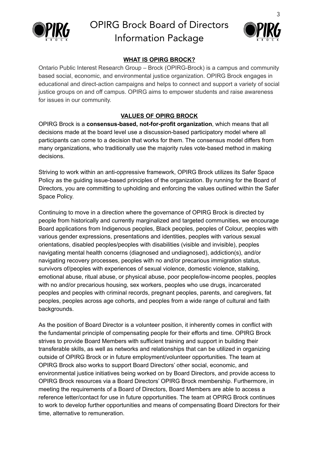



### **WHAT IS OPIRG BROCK?**

Ontario Public Interest Research Group – Brock (OPIRG-Brock) is a campus and community based social, economic, and environmental justice organization. OPIRG Brock engages in educational and direct-action campaigns and helps to connect and support a variety of social justice groups on and off campus. OPIRG aims to empower students and raise awareness for issues in our community.

### **VALUES OF OPIRG BROCK**

OPIRG Brock is a **consensus-based, not-for-profit organization**, which means that all decisions made at the board level use a discussion-based participatory model where all participants can come to a decision that works for them. The consensus model differs from many organizations, who traditionally use the majority rules vote-based method in making decisions.

Striving to work within an anti-oppressive framework, OPIRG Brock utilizes its Safer Space Policy as the guiding issue-based principles of the organization. By running for the Board of Directors, you are committing to upholding and enforcing the values outlined within the Safer Space Policy.

Continuing to move in a direction where the governance of OPIRG Brock is directed by people from historically and currently marginalized and targeted communities, we encourage Board applications from Indigenous peoples, Black peoples, peoples of Colour, peoples with various gender expressions, presentations and identities, peoples with various sexual orientations, disabled peoples/peoples with disabilities (visible and invisible), peoples navigating mental health concerns (diagnosed and undiagnosed), addiction(s), and/or navigating recovery processes, peoples with no and/or precarious immigration status, survivors of/peoples with experiences of sexual violence, domestic violence, stalking, emotional abuse, ritual abuse, or physical abuse, poor people/low-income peoples, peoples with no and/or precarious housing, sex workers, peoples who use drugs, incarcerated peoples and peoples with criminal records, pregnant peoples, parents, and caregivers, fat peoples, peoples across age cohorts, and peoples from a wide range of cultural and faith backgrounds.

As the position of Board Director is a volunteer position, it inherently comes in conflict with the fundamental principle of compensating people for their efforts and time. OPIRG Brock strives to provide Board Members with sufficient training and support in building their transferable skills, as well as networks and relationships that can be utilized in organizing outside of OPIRG Brock or in future employment/volunteer opportunities. The team at OPIRG Brock also works to support Board Directors' other social, economic, and environmental justice initiatives being worked on by Board Directors, and provide access to OPIRG Brock resources via a Board Directors' OPIRG Brock membership. Furthermore, in meeting the requirements of a Board of Directors, Board Members are able to access a reference letter/contact for use in future opportunities. The team at OPIRG Brock continues to work to develop further opportunities and means of compensating Board Directors for their time, alternative to remuneration.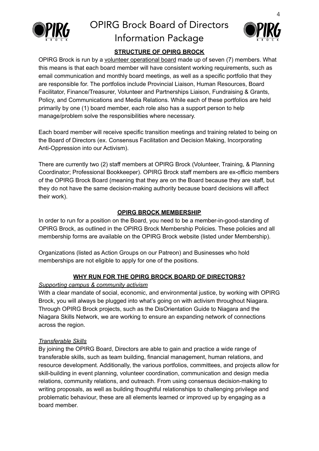



# **STRUCTURE OF OPIRG BROCK**

OPIRG Brock is run by a volunteer operational board made up of seven (7) members. What this means is that each board member will have consistent working requirements, such as email communication and monthly board meetings, as well as a specific portfolio that they are responsible for. The portfolios include Provincial Liaison, Human Resources, Board Facilitator, Finance/Treasurer, Volunteer and Partnerships Liaison, Fundraising & Grants, Policy, and Communications and Media Relations. While each of these portfolios are held primarily by one (1) board member, each role also has a support person to help manage/problem solve the responsibilities where necessary.

Each board member will receive specific transition meetings and training related to being on the Board of Directors (ex. Consensus Facilitation and Decision Making, Incorporating Anti-Oppression into our Activism).

There are currently two (2) staff members at OPIRG Brock (Volunteer, Training, & Planning Coordinator; Professional Bookkeeper). OPIRG Brock staff members are ex-officio members of the OPIRG Brock Board (meaning that they are on the Board because they are staff, but they do not have the same decision-making authority because board decisions will affect their work).

#### **OPIRG BROCK MEMBERSHIP**

In order to run for a position on the Board, you need to be a member-in-good-standing of OPIRG Brock, as outlined in the OPIRG Brock Membership Policies. These policies and all membership forms are available on the OPIRG Brock website (listed under Membership).

Organizations (listed as Action Groups on our Patreon) and Businesses who hold memberships are not eligible to apply for one of the positions.

#### **WHY RUN FOR THE OPIRG BROCK BOARD OF DIRECTORS?**

#### *Supporting campus & community activism*

With a clear mandate of social, economic, and environmental justice, by working with OPIRG Brock, you will always be plugged into what's going on with activism throughout Niagara. Through OPIRG Brock projects, such as the DisOrientation Guide to Niagara and the Niagara Skills Network, we are working to ensure an expanding network of connections across the region.

#### *Transferable Skills*

By joining the OPIRG Board, Directors are able to gain and practice a wide range of transferable skills, such as team building, financial management, human relations, and resource development. Additionally, the various portfolios, committees, and projects allow for skill-building in event planning, volunteer coordination, communication and design media relations, community relations, and outreach. From using consensus decision-making to writing proposals, as well as building thoughtful relationships to challenging privilege and problematic behaviour, these are all elements learned or improved up by engaging as a board member.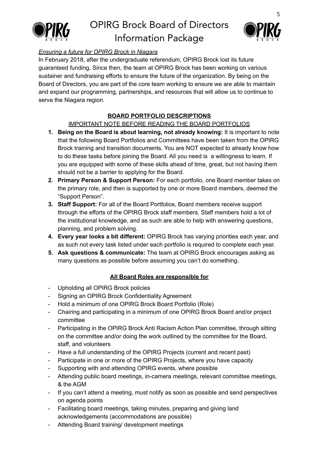



# *Ensuring a future for OPIRG Brock in Niagara*

In February 2018, after the undergraduate referendum, OPIRG Brock lost its future guaranteed funding. Since then, the team at OPIRG Brock has been working on various sustainer and fundraising efforts to ensure the future of the organization. By being on the Board of Directors, you are part of the core team working to ensure we are able to maintain and expand our programming, partnerships, and resources that will allow us to continue to serve the Niagara region.

### **BOARD PORTFOLIO DESCRIPTIONS**

### IMPORTANT NOTE BEFORE READING THE BOARD PORTFOLIOS

- **1. Being on the Board is about learning, not already knowing:** It is important to note that the following Board Portfolios and Committees have been taken from the OPIRG Brock training and transition documents. You are NOT expected to already know how to do these tasks before joining the Board. All you need is a willingness to learn. If you are equipped with some of these skills ahead of time, great, but not having them should not be a barrier to applying for the Board.
- **2. Primary Person & Support Person:** For each portfolio, one Board member takes on the primary role, and then is supported by one or more Board members, deemed the "Support Person".
- **3. Staff Support:** For all of the Board Portfolios, Board members receive support through the efforts of the OPIRG Brock staff members. Staff members hold a lot of the institutional knowledge, and as such are able to help with answering questions, planning, and problem solving.
- **4. Every year looks a bit different:** OPIRG Brock has varying priorities each year, and as such not every task listed under each portfolio is required to complete each year.
- **5. Ask questions & communicate:** The team at OPIRG Brock encourages asking as many questions as possible before assuming you can't do something.

#### **All Board Roles are responsible for**

- Upholding all OPIRG Brock policies
- Signing an OPIRG Brock Confidentiality Agreement
- Hold a minimum of one OPIRG Brock Board Portfolio (Role)
- Chairing and participating in a minimum of one OPIRG Brock Board and/or project committee
- Participating in the OPIRG Brock Anti Racism Action Plan committee, through sitting on the committee and/or doing the work outlined by the committee for the Board, staff, and volunteers
- Have a full understanding of the OPIRG Projects (current and recent past)
- Participate in one or more of the OPIRG Projects, where you have capacity
- Supporting with and attending OPIRG events, where possible
- Attending public board meetings, in-camera meetings, relevant committee meetings, & the AGM
- If you can't attend a meeting, must notify as soon as possible and send perspectives on agenda points
- Facilitating board meetings, taking minutes, preparing and giving land acknowledgements (accommodations are possible)
- Attending Board training/ development meetings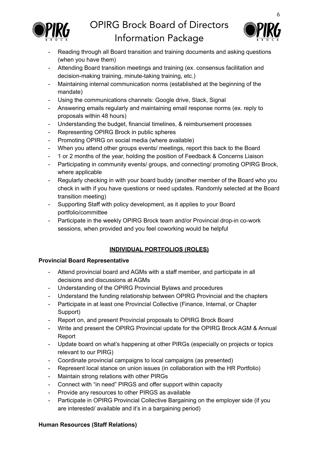



- Reading through all Board transition and training documents and asking questions (when you have them)
- Attending Board transition meetings and training (ex. consensus facilitation and decision-making training, minute-taking training, etc.)
- Maintaining internal communication norms (established at the beginning of the mandate)
- Using the communications channels: Google drive, Slack, Signal
- Answering emails regularly and maintaining email response norms (ex. reply to proposals within 48 hours)
- Understanding the budget, financial timelines, & reimbursement processes
- Representing OPIRG Brock in public spheres
- Promoting OPIRG on social media (where available)
- When you attend other groups events/ meetings, report this back to the Board
- 1 or 2 months of the year, holding the position of Feedback & Concerns Liaison
- Participating in community events/ groups, and connecting/ promoting OPIRG Brock, where applicable
- Regularly checking in with your board buddy (another member of the Board who you check in with if you have questions or need updates. Randomly selected at the Board transition meeting)
- Supporting Staff with policy development, as it applies to your Board portfolio/committee
- Participate in the weekly OPIRG Brock team and/or Provincial drop-in co-work sessions, when provided and you feel coworking would be helpful

### **INDIVIDUAL PORTFOLIOS (ROLES)**

#### **Provincial Board Representative**

- Attend provincial board and AGMs with a staff member, and participate in all decisions and discussions at AGMs
- Understanding of the OPIRG Provincial Bylaws and procedures
- Understand the funding relationship between OPIRG Provincial and the chapters
- Participate in at least one Provincial Collective (Finance, Internal, or Chapter Support)
- Report on, and present Provincial proposals to OPIRG Brock Board
- Write and present the OPIRG Provincial update for the OPIRG Brock AGM & Annual Report
- Update board on what's happening at other PIRGs (especially on projects or topics relevant to our PIRG)
- Coordinate provincial campaigns to local campaigns (as presented)
- Represent local stance on union issues (in collaboration with the HR Portfolio)
- Maintain strong relations with other PIRGs
- Connect with "in need" PIRGS and offer support within capacity
- Provide any resources to other PIRGS as available
- Participate in OPIRG Provincial Collective Bargaining on the employer side (if you are interested/ available and it's in a bargaining period)

#### **Human Resources (Staff Relations)**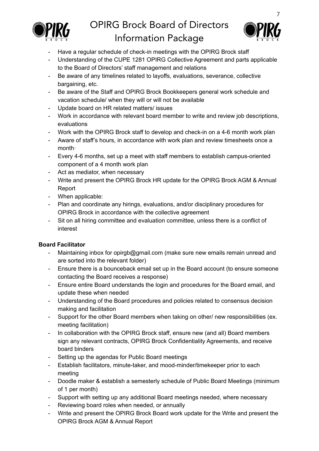



- Have a regular schedule of check-in meetings with the OPIRG Brock staff
- Understanding of the CUPE 1281 OPIRG Collective Agreement and parts applicable to the Board of Directors' staff management and relations
- Be aware of any timelines related to layoffs, evaluations, severance, collective bargaining, etc.
- Be aware of the Staff and OPIRG Brock Bookkeepers general work schedule and vacation schedule/ when they will or will not be available
- Update board on HR related matters/ issues
- Work in accordance with relevant board member to write and review job descriptions, evaluations
- Work with the OPIRG Brock staff to develop and check-in on a 4-6 month work plan
- Aware of staff's hours, in accordance with work plan and review timesheets once a month·
- Every 4-6 months, set up a meet with staff members to establish campus-oriented component of a 4 month work plan
- Act as mediator, when necessary
- Write and present the OPIRG Brock HR update for the OPIRG Brock AGM & Annual Report
- When applicable:
- Plan and coordinate any hirings, evaluations, and/or disciplinary procedures for OPIRG Brock in accordance with the collective agreement
- Sit on all hiring committee and evaluation committee, unless there is a conflict of interest

# **Board Facilitator**

- Maintaining inbox for opirgb@gmail.com (make sure new emails remain unread and are sorted into the relevant folder)
- Ensure there is a bounceback email set up in the Board account (to ensure someone contacting the Board receives a response)
- Ensure entire Board understands the login and procedures for the Board email, and update these when needed
- Understanding of the Board procedures and policies related to consensus decision making and facilitation
- Support for the other Board members when taking on other/ new responsibilities (ex. meeting facilitation)
- In collaboration with the OPIRG Brock staff, ensure new (and all) Board members sign any relevant contracts, OPIRG Brock Confidentiality Agreements, and receive board binders
- Setting up the agendas for Public Board meetings
- Establish facilitators, minute-taker, and mood-minder/timekeeper prior to each meeting
- Doodle maker & establish a semesterly schedule of Public Board Meetings (minimum of 1 per month)
- Support with setting up any additional Board meetings needed, where necessary
- Reviewing board roles when needed, or annually
- Write and present the OPIRG Brock Board work update for the Write and present the OPIRG Brock AGM & Annual Report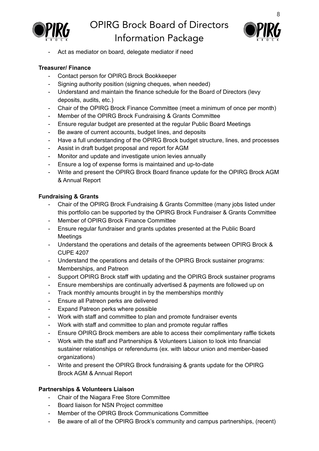



Act as mediator on board, delegate mediator if need

### **Treasurer/ Finance**

- Contact person for OPIRG Brock Bookkeeper
- Signing authority position (signing cheques, when needed)
- Understand and maintain the finance schedule for the Board of Directors (levy deposits, audits, etc.)
- Chair of the OPIRG Brock Finance Committee (meet a minimum of once per month)
- Member of the OPIRG Brock Fundraising & Grants Committee
- Ensure regular budget are presented at the regular Public Board Meetings
- Be aware of current accounts, budget lines, and deposits
- Have a full understanding of the OPIRG Brock budget structure, lines, and processes
- Assist in draft budget proposal and report for AGM
- Monitor and update and investigate union levies annually
- Ensure a log of expense forms is maintained and up-to-date
- Write and present the OPIRG Brock Board finance update for the OPIRG Brock AGM & Annual Report

### **Fundraising & Grants**

- Chair of the OPIRG Brock Fundraising & Grants Committee (many jobs listed under this portfolio can be supported by the OPIRG Brock Fundraiser & Grants Committee
- Member of OPIRG Brock Finance Committee
- Ensure regular fundraiser and grants updates presented at the Public Board Meetings
- Understand the operations and details of the agreements between OPIRG Brock & CUPE 4207
- Understand the operations and details of the OPIRG Brock sustainer programs: Memberships, and Patreon
- Support OPIRG Brock staff with updating and the OPIRG Brock sustainer programs
- Ensure memberships are continually advertised & payments are followed up on
- Track monthly amounts brought in by the memberships monthly
- Ensure all Patreon perks are delivered
- Expand Patreon perks where possible
- Work with staff and committee to plan and promote fundraiser events
- Work with staff and committee to plan and promote regular raffles
- Ensure OPIRG Brock members are able to access their complimentary raffle tickets
- Work with the staff and Partnerships & Volunteers Liaison to look into financial sustainer relationships or referendums (ex. with labour union and member-based organizations)
- Write and present the OPIRG Brock fundraising & grants update for the OPIRG Brock AGM & Annual Report

### **Partnerships & Volunteers Liaison**

- Chair of the Niagara Free Store Committee
- Board liaison for NSN Project committee
- Member of the OPIRG Brock Communications Committee
- Be aware of all of the OPIRG Brock's community and campus partnerships, (recent)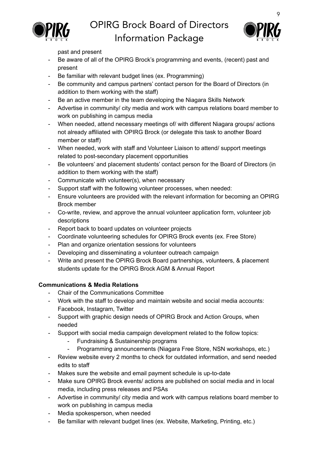



past and present

- Be aware of all of the OPIRG Brock's programming and events, (recent) past and present
- Be familiar with relevant budget lines (ex. Programming)
- Be community and campus partners' contact person for the Board of Directors (in addition to them working with the staff)
- Be an active member in the team developing the Niagara Skills Network
- Advertise in community/ city media and work with campus relations board member to work on publishing in campus media
- When needed, attend necessary meetings of/ with different Niagara groups/ actions not already affiliated with OPIRG Brock (or delegate this task to another Board member or staff)
- When needed, work with staff and Volunteer Liaison to attend/ support meetings related to post-secondary placement opportunities
- Be volunteers' and placement students' contact person for the Board of Directors (in addition to them working with the staff)
- Communicate with volunteer(s), when necessary
- Support staff with the following volunteer processes, when needed:
- Ensure volunteers are provided with the relevant information for becoming an OPIRG Brock member
- Co-write, review, and approve the annual volunteer application form, volunteer job descriptions
- Report back to board updates on volunteer projects
- Coordinate volunteering schedules for OPIRG Brock events (ex. Free Store)
- Plan and organize orientation sessions for volunteers
- Developing and disseminating a volunteer outreach campaign
- Write and present the OPIRG Brock Board partnerships, volunteers, & placement students update for the OPIRG Brock AGM & Annual Report

# **Communications & Media Relations**

- Chair of the Communications Committee
- Work with the staff to develop and maintain website and social media accounts: Facebook, Instagram, Twitter
- Support with graphic design needs of OPIRG Brock and Action Groups, when needed
- Support with social media campaign development related to the follow topics:
	- Fundraising & Sustainership programs
	- Programming announcements (Niagara Free Store, NSN workshops, etc.)
- Review website every 2 months to check for outdated information, and send needed edits to staff
- Makes sure the website and email payment schedule is up-to-date
- Make sure OPIRG Brock events/ actions are published on social media and in local media, including press releases and PSAs
- Advertise in community/ city media and work with campus relations board member to work on publishing in campus media
- Media spokesperson, when needed
- Be familiar with relevant budget lines (ex. Website, Marketing, Printing, etc.)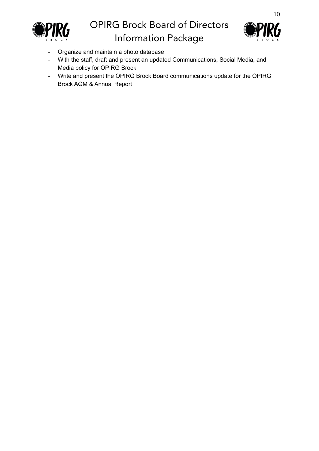



- Organize and maintain a photo database
- With the staff, draft and present an updated Communications, Social Media, and Media policy for OPIRG Brock
- Write and present the OPIRG Brock Board communications update for the OPIRG Brock AGM & Annual Report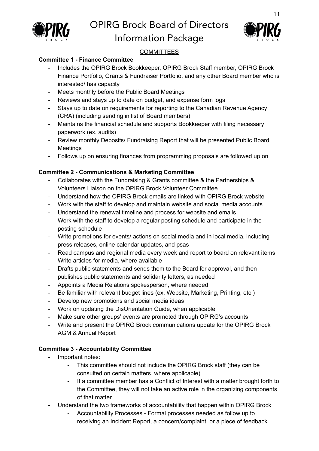

# OPIRG Brock Board of Directors



# Information Package

# **COMMITTEES**

### **Committee 1 - Finance Committee**

- Includes the OPIRG Brock Bookkeeper, OPIRG Brock Staff member, OPIRG Brock Finance Portfolio, Grants & Fundraiser Portfolio, and any other Board member who is interested/ has capacity
- Meets monthly before the Public Board Meetings
- Reviews and stays up to date on budget, and expense form logs
- Stays up to date on requirements for reporting to the Canadian Revenue Agency (CRA) (including sending in list of Board members)
- Maintains the financial schedule and supports Bookkeeper with filing necessary paperwork (ex. audits)
- Review monthly Deposits/ Fundraising Report that will be presented Public Board Meetings
- Follows up on ensuring finances from programming proposals are followed up on

### **Committee 2 - Communications & Marketing Committee**

- Collaborates with the Fundraising & Grants committee & the Partnerships & Volunteers Liaison on the OPIRG Brock Volunteer Committee
- Understand how the OPIRG Brock emails are linked with OPIRG Brock website
- Work with the staff to develop and maintain website and social media accounts
- Understand the renewal timeline and process for website and emails
- Work with the staff to develop a regular posting schedule and participate in the posting schedule
- Write promotions for events/ actions on social media and in local media, including press releases, online calendar updates, and psas
- Read campus and regional media every week and report to board on relevant items
- Write articles for media, where available
- Drafts public statements and sends them to the Board for approval, and then publishes public statements and solidarity letters, as needed
- Appoints a Media Relations spokesperson, where needed
- Be familiar with relevant budget lines (ex. Website, Marketing, Printing, etc.)
- Develop new promotions and social media ideas
- Work on updating the DisOrientation Guide, when applicable
- Make sure other groups' events are promoted through OPIRG's accounts
- Write and present the OPIRG Brock communications update for the OPIRG Brock AGM & Annual Report

### **Committee 3 - Accountability Committee**

- Important notes:
	- This committee should not include the OPIRG Brock staff (they can be consulted on certain matters, where applicable)
	- If a committee member has a Conflict of Interest with a matter brought forth to the Committee, they will not take an active role in the organizing components of that matter
- Understand the two frameworks of accountability that happen within OPIRG Brock
	- Accountability Processes Formal processes needed as follow up to receiving an Incident Report, a concern/complaint, or a piece of feedback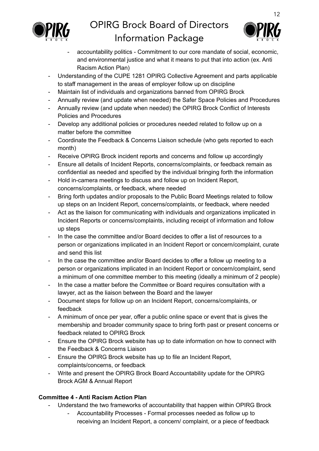



- accountability politics Commitment to our core mandate of social, economic, and environmental justice and what it means to put that into action (ex. Anti Racism Action Plan)
- Understanding of the CUPE 1281 OPIRG Collective Agreement and parts applicable to staff management in the areas of employer follow up on discipline
- Maintain list of individuals and organizations banned from OPIRG Brock
- Annually review (and update when needed) the Safer Space Policies and Procedures
- Annually review (and update when needed) the OPIRG Brock Conflict of Interests Policies and Procedures
- Develop any additional policies or procedures needed related to follow up on a matter before the committee
- Coordinate the Feedback & Concerns Liaison schedule (who gets reported to each month)
- Receive OPIRG Brock incident reports and concerns and follow up accordingly
- Ensure all details of Incident Reports, concerns/complaints, or feedback remain as confidential as needed and specified by the individual bringing forth the information
- Hold in-camera meetings to discuss and follow up on Incident Report, concerns/complaints, or feedback, where needed
- Bring forth updates and/or proposals to the Public Board Meetings related to follow up steps on an Incident Report, concerns/complaints, or feedback, where needed
- Act as the liaison for communicating with individuals and organizations implicated in Incident Reports or concerns/complaints, including receipt of information and follow up steps
- In the case the committee and/or Board decides to offer a list of resources to a person or organizations implicated in an Incident Report or concern/complaint, curate and send this list
- In the case the committee and/or Board decides to offer a follow up meeting to a person or organizations implicated in an Incident Report or concern/complaint, send a minimum of one committee member to this meeting (ideally a minimum of 2 people)
- In the case a matter before the Committee or Board requires consultation with a lawyer, act as the liaison between the Board and the lawyer
- Document steps for follow up on an Incident Report, concerns/complaints, or feedback
- A minimum of once per year, offer a public online space or event that is gives the membership and broader community space to bring forth past or present concerns or feedback related to OPIRG Brock
- Ensure the OPIRG Brock website has up to date information on how to connect with the Feedback & Concerns Liaison
- Ensure the OPIRG Brock website has up to file an Incident Report, complaints/concerns, or feedback
- Write and present the OPIRG Brock Board Accountability update for the OPIRG Brock AGM & Annual Report

# **Committee 4 - Anti Racism Action Plan**

- Understand the two frameworks of accountability that happen within OPIRG Brock
	- Accountability Processes Formal processes needed as follow up to receiving an Incident Report, a concern/ complaint, or a piece of feedback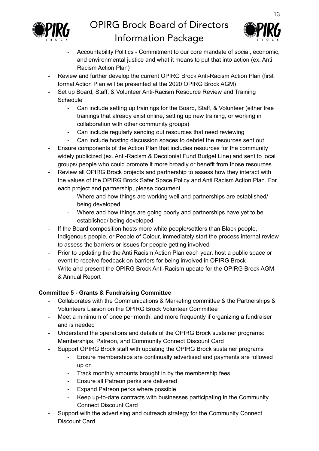



- Accountability Politics Commitment to our core mandate of social, economic, and environmental justice and what it means to put that into action (ex. Anti Racism Action Plan)
- Review and further develop the current OPIRG Brock Anti-Racism Action Plan (first formal Action Plan will be presented at the 2020 OPIRG Brock AGM)
- Set up Board, Staff, & Volunteer Anti-Racism Resource Review and Training **Schedule** 
	- Can include setting up trainings for the Board, Staff, & Volunteer (either free trainings that already exist online, setting up new training, or working in collaboration with other community groups)
	- Can include regularly sending out resources that need reviewing
	- Can include hosting discussion spaces to debrief the resources sent out
- Ensure components of the Action Plan that includes resources for the community widely publicized (ex. Anti-Racism & Decolonial Fund Budget Line) and sent to local groups/ people who could promote it more broadly or benefit from those resources
- Review all OPIRG Brock projects and partnership to assess how they interact with the values of the OPIRG Brock Safer Space Policy and Anti Racism Action Plan. For each project and partnership, please document
	- Where and how things are working well and partnerships are established/ being developed
	- Where and how things are going poorly and partnerships have yet to be established/ being developed
- If the Board composition hosts more white people/settlers than Black people, Indigenous people, or People of Colour, immediately start the process internal review to assess the barriers or issues for people getting involved
- Prior to updating the the Anti Racism Action Plan each year, host a public space or event to receive feedback on barriers for being involved in OPIRG Brock
- Write and present the OPIRG Brock Anti-Racism update for the OPIRG Brock AGM & Annual Report

# **Committee 5 - Grants & Fundraising Committee**

- Collaborates with the Communications & Marketing committee & the Partnerships & Volunteers Liaison on the OPIRG Brock Volunteer Committee
- Meet a minimum of once per month, and more frequently if organizing a fundraiser and is needed
- Understand the operations and details of the OPIRG Brock sustainer programs: Memberships, Patreon, and Community Connect Discount Card
- Support OPIRG Brock staff with updating the OPIRG Brock sustainer programs
	- Ensure memberships are continually advertised and payments are followed up on
	- Track monthly amounts brought in by the membership fees
	- Ensure all Patreon perks are delivered
	- Expand Patreon perks where possible
	- Keep up-to-date contracts with businesses participating in the Community Connect Discount Card
- Support with the advertising and outreach strategy for the Community Connect Discount Card